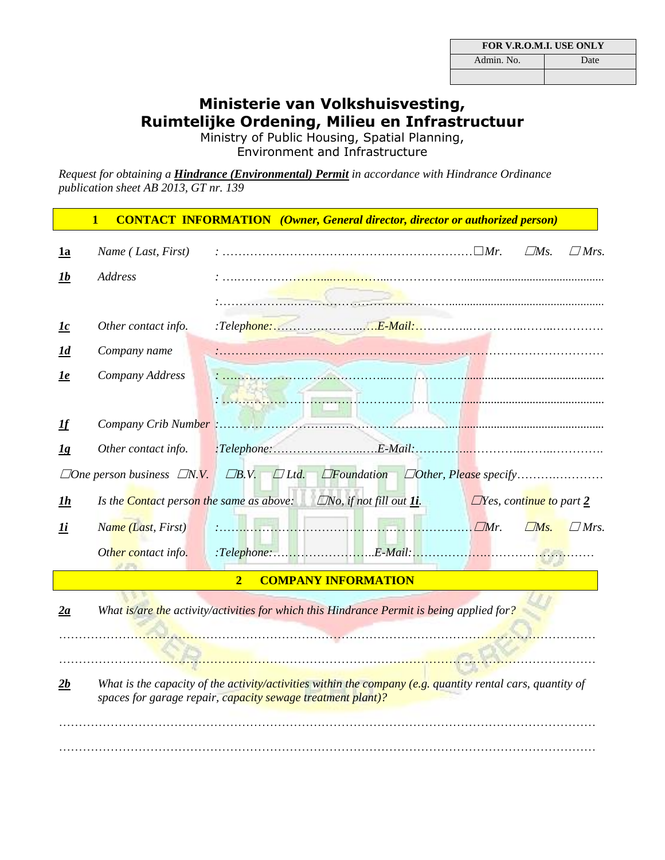| <b>FOR V.R.O.M.I. USE ONLY</b> |  |  |  |
|--------------------------------|--|--|--|
| Admin, No.<br>Date             |  |  |  |
|                                |  |  |  |

## **Ministerie van Volkshuisvesting, Ruimtelijke Ordening, Milieu en Infrastructuur**

Ministry of Public Housing, Spatial Planning, Environment and Infrastructure

*Request for obtaining a Hindrance (Environmental) Permit in accordance with Hindrance Ordinance publication sheet AB 2013, GT nr. 139*

|                         | <b>CONTACT INFORMATION</b> (Owner, General director, director or authorized person)<br>$\mathbf{1}$                                                                         |                |                            |  |                                           |                                |                    |
|-------------------------|-----------------------------------------------------------------------------------------------------------------------------------------------------------------------------|----------------|----------------------------|--|-------------------------------------------|--------------------------------|--------------------|
| <u>1a</u>               | Name (Last, First)                                                                                                                                                          |                |                            |  |                                           | $\Box Ms.$                     | $\Box$ <i>Mrs.</i> |
| <u> 1b</u>              | Address                                                                                                                                                                     |                |                            |  |                                           |                                |                    |
|                         |                                                                                                                                                                             |                |                            |  |                                           |                                |                    |
| $\mathbf{I} \mathbf{c}$ | Other contact info.                                                                                                                                                         |                |                            |  |                                           |                                |                    |
| <u>Id</u>               | Company name                                                                                                                                                                |                |                            |  |                                           |                                |                    |
| <u>le</u>               | Company Address                                                                                                                                                             |                |                            |  |                                           |                                |                    |
|                         |                                                                                                                                                                             |                |                            |  |                                           |                                |                    |
| $I\!f$                  |                                                                                                                                                                             |                |                            |  |                                           |                                |                    |
| $\underline{1g}$        | Other contact info.                                                                                                                                                         |                |                            |  |                                           |                                |                    |
|                         | $\Box$ One person business $\Box N. V.$ $\Box B. V.$ $\Box$ Ltd.                                                                                                            |                |                            |  | <i>DFoundation Dother, Please specify</i> |                                |                    |
| <u> 1h</u>              | Is the <b>Contact person the same as above:</b> $\Box$ No, if not fill out $\underline{\mathbf{li}}$ .                                                                      |                |                            |  |                                           | $\Box$ Yes, continue to part 2 |                    |
| 1i                      | Name (Last, First)                                                                                                                                                          |                |                            |  |                                           | $\Box Ms.$                     | $\Box$ <i>Mrs.</i> |
|                         | Other contact info.                                                                                                                                                         |                |                            |  |                                           |                                |                    |
|                         |                                                                                                                                                                             | $\overline{2}$ | <b>COMPANY INFORMATION</b> |  |                                           |                                |                    |
| 2a                      | What is/are the activity/activities for which this Hindrance Permit is being applied for?                                                                                   |                |                            |  |                                           |                                |                    |
|                         |                                                                                                                                                                             |                |                            |  |                                           |                                |                    |
| 2b                      | What is the capacity of the activity/activities within the company $(e.g.$ quantity rental cars, quantity of<br>spaces for garage repair, capacity sewage treatment plant)? |                |                            |  |                                           |                                |                    |
|                         |                                                                                                                                                                             |                |                            |  |                                           |                                |                    |
|                         |                                                                                                                                                                             |                |                            |  |                                           |                                |                    |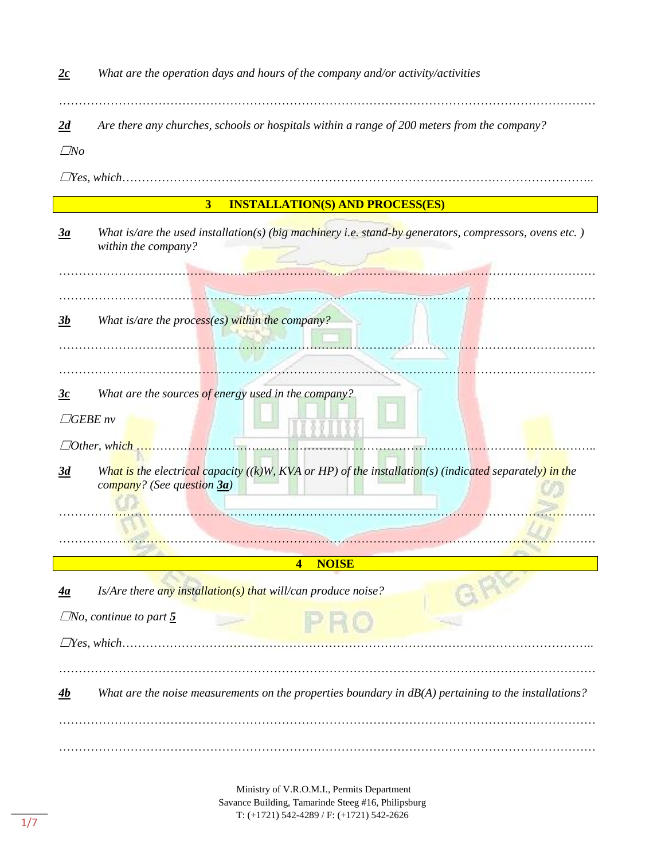*2c What are the operation days and hours of the company and/or activity/activities*

*2d Are there any churches, schools or hospitals within a range of 200 meters from the company?*

☐*No*

☐*Yes, which*………………………………………………………………………………………………………..

|  | <b>3 INSTALLATION(S) AND PROCESS(ES)</b> |  |
|--|------------------------------------------|--|
|--|------------------------------------------|--|

*3a What is/are the used installation(s) (big machinery i.e. stand-by generators, compressors, ovens etc. ) within the company?*

………………………………………………………………………………………………………………………

………………………………………………………………………………………………………………………

………………………………………………………………………………………………………………………

………………………………………………………………………………………………………………………

*3b What is/are the process(es) within the company?*

*3c What are the sources of energy used in the company?*

☐*GEBE nv*

☐*Other, which* ……………………………………………………………………………………………………..

*3d What is the electrical capacity ((k)W, KVA or HP) of the installation(s) (indicated separately) in the company? (See question 3a)*

……………………………………………………………………………………………………………………… **4 NOISE**

………………………………………………………………………………………………………………………

*4a Is/Are there any installation(s) that will/can produce noise?*

 $\Box$ *No, continue to part*  $\overline{5}$ 

☐*Yes, which*………………………………………………………………………………………………………..

*4b What are the noise measurements on the properties boundary in dB(A) pertaining to the installations?*

………………………………………………………………………………………………………………………

………………………………………………………………………………………………………………………

Ministry of V.R.O.M.I., Permits Department Savance Building, Tamarinde Steeg #16, Philipsburg T: (+1721) 542-4289 / F: (+1721) 542-2626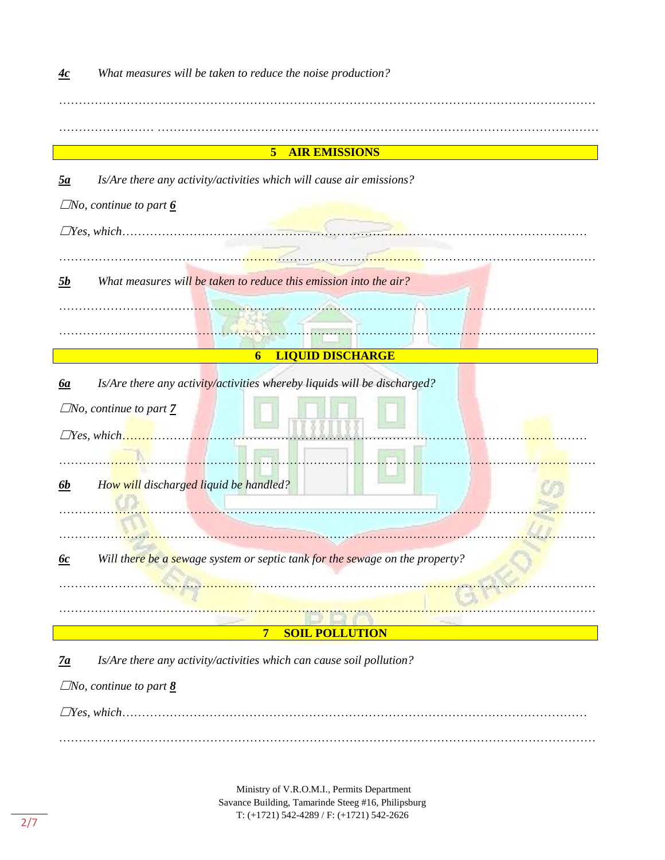| <u>4c</u>        | What measures will be taken to reduce the noise production?                  |
|------------------|------------------------------------------------------------------------------|
|                  |                                                                              |
|                  | 5 <sub>5</sub><br><b>AIR EMISSIONS</b>                                       |
| $\underline{5a}$ | Is/Are there any activity/activities which will cause air emissions?         |
|                  | $\Box$ No, continue to part $\underline{6}$                                  |
|                  |                                                                              |
| 5b               | What measures will be taken to reduce this emission into the air?            |
|                  |                                                                              |
|                  | <b>LIQUID DISCHARGE</b><br>6                                                 |
| <u>ба</u>        | Is/Are there any activity/activities whereby liquids will be discharged?     |
|                  | $\Box$ No, continue to part $\overline{Z}$                                   |
|                  | $\Box$ Yes, which                                                            |
|                  |                                                                              |
| <u>6b</u>        | How will discharged liquid be handled?                                       |
|                  |                                                                              |
| <u>6c</u>        | Will there be a sewage system or septic tank for the sewage on the property? |
|                  |                                                                              |
|                  | $\overline{7}$<br><b>SOIL POLLUTION</b>                                      |
| $\frac{7a}{2}$   | Is/Are there any activity/activities which can cause soil pollution?         |
|                  | $\Box$ No, continue to part <u>8</u>                                         |
|                  |                                                                              |
|                  |                                                                              |

Ministry of V.R.O.M.I., Permits Department Savance Building, Tamarinde Steeg #16, Philipsburg T: (+1721) 542-4289 / F: (+1721) 542-2626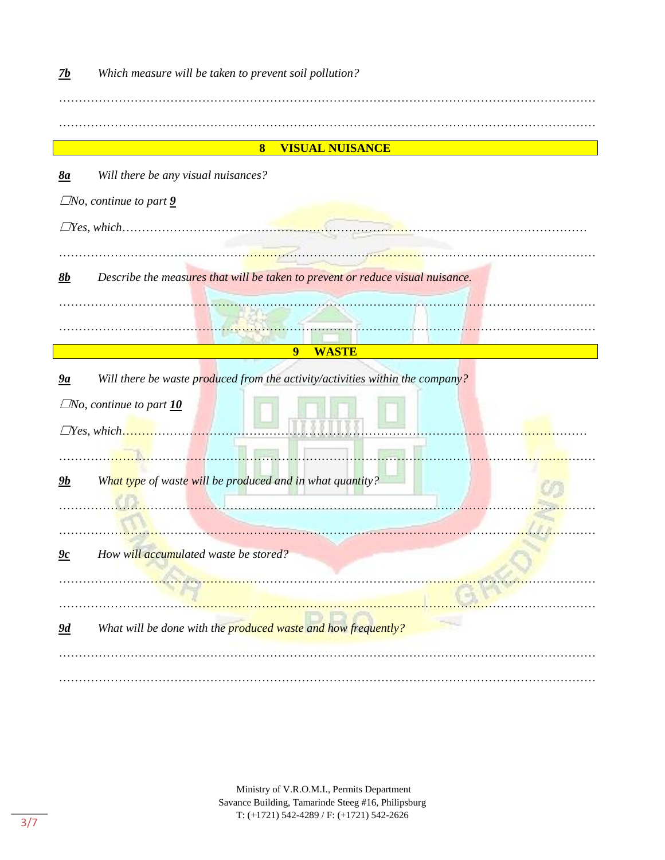| <b>VISUAL NUISANCE</b><br>$\boldsymbol{8}$                                                        |  |
|---------------------------------------------------------------------------------------------------|--|
| Will there be any visual nuisances?<br>8a                                                         |  |
| $\Box$ No, continue to part $\underline{9}$                                                       |  |
|                                                                                                   |  |
|                                                                                                   |  |
|                                                                                                   |  |
| Describe the measures that will be taken to prevent or reduce visual nuisance.<br>8b              |  |
|                                                                                                   |  |
|                                                                                                   |  |
| <b>WASTE</b><br>9                                                                                 |  |
| Will there be waste produced from the activity/activities within the company?<br>$\underline{9a}$ |  |
| $\Box$ No, continue to part $\underline{10}$                                                      |  |
|                                                                                                   |  |
|                                                                                                   |  |
| $\Box$ Yes, which                                                                                 |  |
|                                                                                                   |  |
| What type of waste will be produced and in what quantity?<br>$\frac{g_b}{g}$                      |  |
|                                                                                                   |  |
|                                                                                                   |  |
| <u>9c</u><br>How will accumulated waste be stored?                                                |  |
|                                                                                                   |  |
|                                                                                                   |  |
| What will be done with the produced waste and how frequently?<br><u>9d</u>                        |  |
|                                                                                                   |  |

Ministry of V.R.O.M.I., Permits Department Savance Building, Tamarinde Steeg #16, Philipsburg T: (+1721) 542-4289 / F: (+1721) 542-2626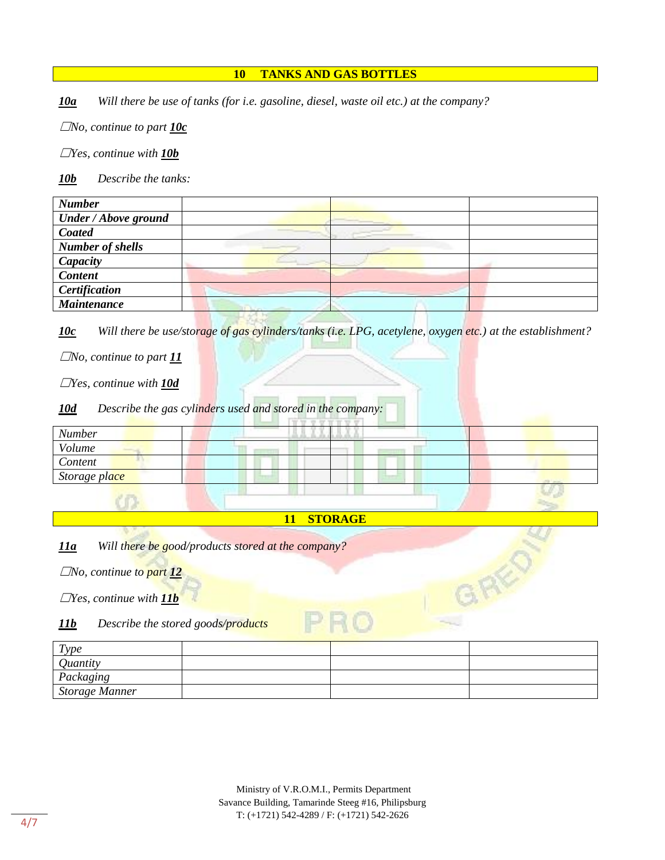## **10 TANKS AND GAS BOTTLES**

*10a Will there be use of tanks (for i.e. gasoline, diesel, waste oil etc.) at the company?*

☐*No, continue to part 10c*

☐*Yes, continue with 10b*

*10b Describe the tanks:*

| <b>Number</b>               |  |
|-----------------------------|--|
| <b>Under / Above ground</b> |  |
| Coated                      |  |
| <b>Number of shells</b>     |  |
| Capacity                    |  |
| <b>Content</b>              |  |
| Certification               |  |
| <b>Maintenance</b>          |  |

*10c Will there be use/storage of gas cylinders/tanks (i.e. LPG, acetylene, oxygen etc.) at the establishment?*

☐*No, continue to part 11*

☐*Yes, continue with 10d*

*10d Describe the gas cylinders used and stored in the company:*

| <b>Number</b> |  |  |
|---------------|--|--|
| Volume        |  |  |
| Content       |  |  |
| Storage place |  |  |
|               |  |  |

## **11 STORAGE**

*11a Will there be good/products stored at the company?*

☐*No, continue to part 12*

☐*Yes, continue with 11b*

*11b Describe the stored goods/products*

| Type                  |  |  |
|-----------------------|--|--|
| <i>Quantity</i>       |  |  |
| Packaging             |  |  |
| <b>Storage Manner</b> |  |  |